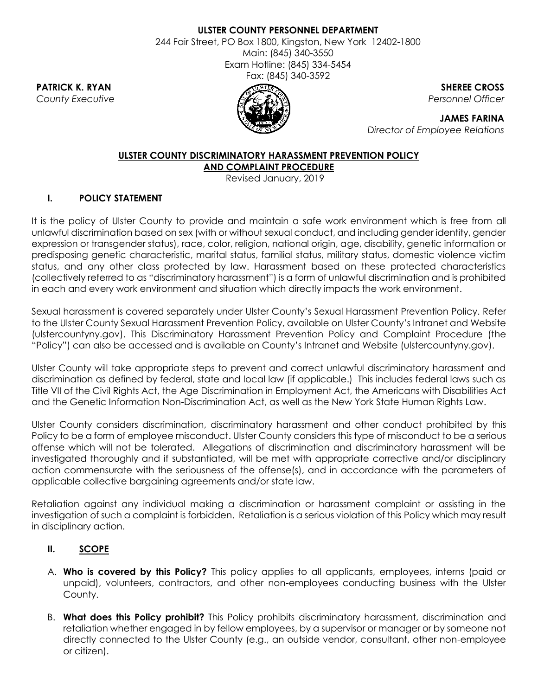#### **ULSTER COUNTY PERSONNEL DEPARTMENT**

244 Fair Street, PO Box 1800, Kingston, New York 12402-1800 Main: (845) 340-3550 Exam Hotline: (845) 334-5454 Fax: (845) 340-3592



**PATRICK K. RYAN** SHEREE CROSS *County Executive Personnel Officer*

> **JAMES FARINA** *Director of Employee Relations*

# **ULSTER COUNTY DISCRIMINATORY HARASSMENT PREVENTION POLICY**

**AND COMPLAINT PROCEDURE**

Revised January, 2019

# **I. POLICY STATEMENT**

It is the policy of Ulster County to provide and maintain a safe work environment which is free from all unlawful discrimination based on sex (with or without sexual conduct, and including gender identity, gender expression or transgender status), race, color, religion, national origin, age, disability, genetic information or predisposing genetic characteristic, marital status, familial status, military status, domestic violence victim status, and any other class protected by law. Harassment based on these protected characteristics (collectively referred to as "discriminatory harassment") is a form of unlawful discrimination and is prohibited in each and every work environment and situation which directly impacts the work environment.

Sexual harassment is covered separately under Ulster County's Sexual Harassment Prevention Policy. Refer to the Ulster County Sexual Harassment Prevention Policy, available on Ulster County's Intranet and Website (ulstercountyny.gov). This Discriminatory Harassment Prevention Policy and Complaint Procedure (the "Policy") can also be accessed and is available on County's Intranet and Website (ulstercountyny.gov).

Ulster County will take appropriate steps to prevent and correct unlawful discriminatory harassment and discrimination as defined by federal, state and local law (if applicable.) This includes federal laws such as Title VII of the Civil Rights Act, the Age Discrimination in Employment Act, the Americans with Disabilities Act and the Genetic Information Non-Discrimination Act, as well as the New York State Human Rights Law.

Ulster County considers discrimination, discriminatory harassment and other conduct prohibited by this Policy to be a form of employee misconduct. Ulster County considers this type of misconduct to be a serious offense which will not be tolerated. Allegations of discrimination and discriminatory harassment will be investigated thoroughly and if substantiated, will be met with appropriate corrective and/or disciplinary action commensurate with the seriousness of the offense(s), and in accordance with the parameters of applicable collective bargaining agreements and/or state law.

Retaliation against any individual making a discrimination or harassment complaint or assisting in the investigation of such a complaint is forbidden. Retaliation is a serious violation of this Policy which may result in disciplinary action.

# **II. SCOPE**

- A. **Who is covered by this Policy?** This policy applies to all applicants, employees, interns (paid or unpaid), volunteers, contractors, and other non-employees conducting business with the Ulster County.
- B. **What does this Policy prohibit?** This Policy prohibits discriminatory harassment, discrimination and retaliation whether engaged in by fellow employees, by a supervisor or manager or by someone not directly connected to the Ulster County (e.g., an outside vendor, consultant, other non-employee or citizen).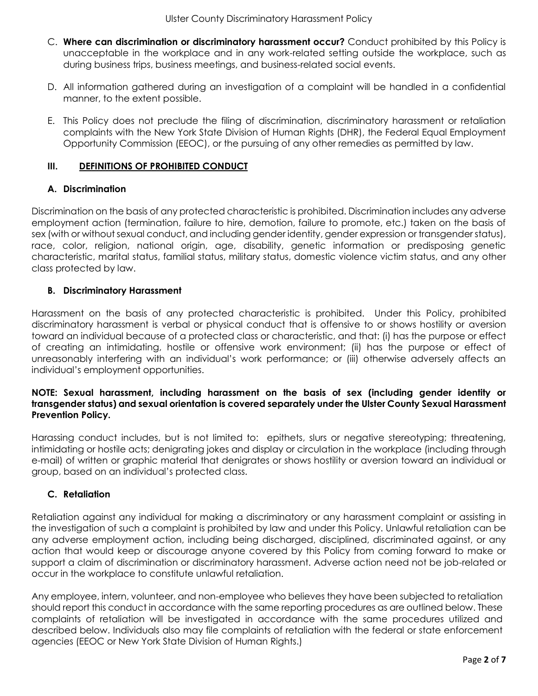- C. **Where can discrimination or discriminatory harassment occur?** Conduct prohibited by this Policy is unacceptable in the workplace and in any work-related setting outside the workplace, such as during business trips, business meetings, and business-related social events.
- D. All information gathered during an investigation of a complaint will be handled in a confidential manner, to the extent possible.
- E. This Policy does not preclude the filing of discrimination, discriminatory harassment or retaliation complaints with the New York State Division of Human Rights (DHR), the Federal Equal Employment Opportunity Commission (EEOC), or the pursuing of any other remedies as permitted by law.

#### **III. DEFINITIONS OF PROHIBITED CONDUCT**

#### **A. Discrimination**

Discrimination on the basis of any protected characteristic is prohibited. Discrimination includes any adverse employment action (termination, failure to hire, demotion, failure to promote, etc.) taken on the basis of sex (with or without sexual conduct, and including gender identity, gender expression or transgender status), race, color, religion, national origin, age, disability, genetic information or predisposing genetic characteristic, marital status, familial status, military status, domestic violence victim status, and any other class protected by law.

#### **B. Discriminatory Harassment**

Harassment on the basis of any protected characteristic is prohibited. Under this Policy, prohibited discriminatory harassment is verbal or physical conduct that is offensive to or shows hostility or aversion toward an individual because of a protected class or characteristic, and that: (i) has the purpose or effect of creating an intimidating, hostile or offensive work environment; (ii) has the purpose or effect of unreasonably interfering with an individual's work performance; or (iii) otherwise adversely affects an individual's employment opportunities.

#### **NOTE: Sexual harassment, including harassment on the basis of sex (including gender identity or transgender status) and sexual orientation is covered separately under the Ulster County Sexual Harassment Prevention Policy.**

Harassing conduct includes, but is not limited to: epithets, slurs or negative stereotyping; threatening, intimidating or hostile acts; denigrating jokes and display or circulation in the workplace (including through e-mail) of written or graphic material that denigrates or shows hostility or aversion toward an individual or group, based on an individual's protected class.

#### **C. Retaliation**

Retaliation against any individual for making a discriminatory or any harassment complaint or assisting in the investigation of such a complaint is prohibited by law and under this Policy. Unlawful retaliation can be any adverse employment action, including being discharged, disciplined, discriminated against, or any action that would keep or discourage anyone covered by this Policy from coming forward to make or support a claim of discrimination or discriminatory harassment. Adverse action need not be job-related or occur in the workplace to constitute unlawful retaliation.

Any employee, intern, volunteer, and non-employee who believes they have been subjected to retaliation should report this conduct in accordance with the same reporting procedures as are outlined below. These complaints of retaliation will be investigated in accordance with the same procedures utilized and described below. Individuals also may file complaints of retaliation with the federal or state enforcement agencies (EEOC or New York State Division of Human Rights.)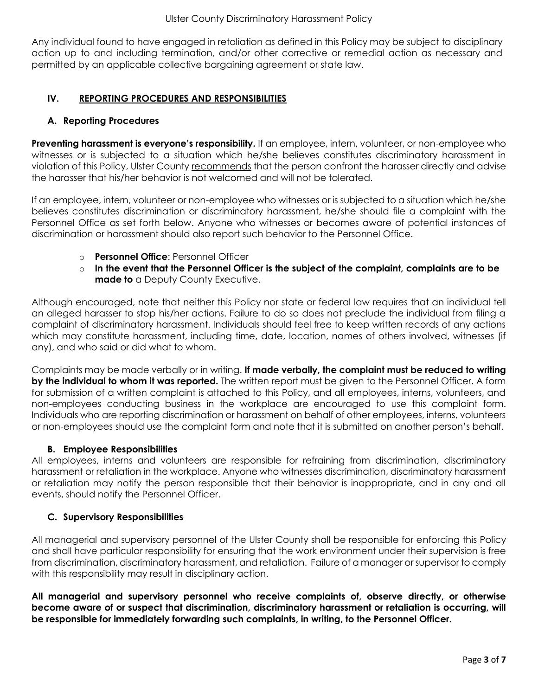Any individual found to have engaged in retaliation as defined in this Policy may be subject to disciplinary action up to and including termination, and/or other corrective or remedial action as necessary and permitted by an applicable collective bargaining agreement or state law.

## **IV. REPORTING PROCEDURES AND RESPONSIBILITIES**

### **A. Reporting Procedures**

**Preventing harassment is everyone's responsibility.** If an employee, intern, volunteer, or non-employee who witnesses or is subjected to a situation which he/she believes constitutes discriminatory harassment in violation of this Policy, Ulster County recommends that the person confront the harasser directly and advise the harasser that his/her behavior is not welcomed and will not be tolerated.

If an employee, intern, volunteer or non-employee who witnesses or is subjected to a situation which he/she believes constitutes discrimination or discriminatory harassment, he/she should file a complaint with the Personnel Office as set forth below. Anyone who witnesses or becomes aware of potential instances of discrimination or harassment should also report such behavior to the Personnel Office.

- o **Personnel Office**: Personnel Officer
- o **In the event that the Personnel Officer is the subject of the complaint, complaints are to be made to** a Deputy County Executive.

Although encouraged, note that neither this Policy nor state or federal law requires that an individual tell an alleged harasser to stop his/her actions. Failure to do so does not preclude the individual from filing a complaint of discriminatory harassment. Individuals should feel free to keep written records of any actions which may constitute harassment, including time, date, location, names of others involved, witnesses (if any), and who said or did what to whom.

Complaints may be made verbally or in writing. **If made verbally, the complaint must be reduced to writing by the individual to whom it was reported.** The written report must be given to the Personnel Officer. A form for submission of a written complaint is attached to this Policy, and all employees, interns, volunteers, and non-employees conducting business in the workplace are encouraged to use this complaint form. Individuals who are reporting discrimination or harassment on behalf of other employees, interns, volunteers or non-employees should use the complaint form and note that it is submitted on another person's behalf.

# **B. Employee Responsibilities**

All employees, interns and volunteers are responsible for refraining from discrimination, discriminatory harassment or retaliation in the workplace. Anyone who witnesses discrimination, discriminatory harassment or retaliation may notify the person responsible that their behavior is inappropriate, and in any and all events, should notify the Personnel Officer.

# **C. Supervisory Responsibilities**

All managerial and supervisory personnel of the Ulster County shall be responsible for enforcing this Policy and shall have particular responsibility for ensuring that the work environment under their supervision is free from discrimination, discriminatory harassment, and retaliation. Failure of a manager or supervisor to comply with this responsibility may result in disciplinary action.

**All managerial and supervisory personnel who receive complaints of, observe directly, or otherwise become aware of or suspect that discrimination, discriminatory harassment or retaliation is occurring, will be responsible for immediately forwarding such complaints, in writing, to the Personnel Officer.**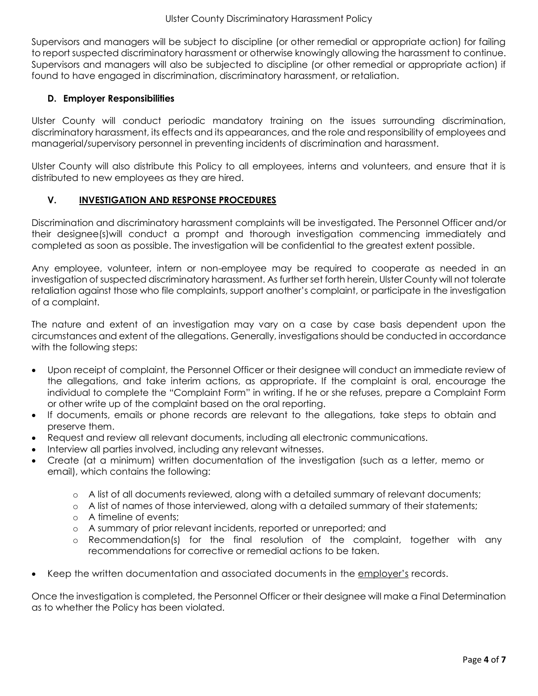Supervisors and managers will be subject to discipline (or other remedial or appropriate action) for failing to report suspected discriminatory harassment or otherwise knowingly allowing the harassment to continue. Supervisors and managers will also be subjected to discipline (or other remedial or appropriate action) if found to have engaged in discrimination, discriminatory harassment, or retaliation.

## **D. Employer Responsibilities**

Ulster County will conduct periodic mandatory training on the issues surrounding discrimination, discriminatory harassment, its effects and its appearances, and the role and responsibility of employees and managerial/supervisory personnel in preventing incidents of discrimination and harassment.

Ulster County will also distribute this Policy to all employees, interns and volunteers, and ensure that it is distributed to new employees as they are hired.

### **V. INVESTIGATION AND RESPONSE PROCEDURES**

Discrimination and discriminatory harassment complaints will be investigated. The Personnel Officer and/or their designee(s)will conduct a prompt and thorough investigation commencing immediately and completed as soon as possible. The investigation will be confidential to the greatest extent possible.

Any employee, volunteer, intern or non-employee may be required to cooperate as needed in an investigation of suspected discriminatory harassment. As further set forth herein, Ulster County will not tolerate retaliation against those who file complaints, support another's complaint, or participate in the investigation of a complaint.

The nature and extent of an investigation may vary on a case by case basis dependent upon the circumstances and extent of the allegations. Generally, investigations should be conducted in accordance with the following steps:

- Upon receipt of complaint, the Personnel Officer or their designee will conduct an immediate review of the allegations, and take interim actions, as appropriate. If the complaint is oral, encourage the individual to complete the "Complaint Form" in writing. If he or she refuses, prepare a Complaint Form or other write up of the complaint based on the oral reporting.
- If documents, emails or phone records are relevant to the allegations, take steps to obtain and preserve them.
- Request and review all relevant documents, including all electronic communications.
- Interview all parties involved, including any relevant witnesses.
- Create (at a minimum) written documentation of the investigation (such as a letter, memo or email), which contains the following:
	- o A list of all documents reviewed, along with a detailed summary of relevant documents;
	- o A list of names of those interviewed, along with a detailed summary of their statements;
	- o A timeline of events;
	- o A summary of prior relevant incidents, reported or unreported; and
	- o Recommendation(s) for the final resolution of the complaint, together with any recommendations for corrective or remedial actions to be taken.
- Keep the written documentation and associated documents in the employer's records.

Once the investigation is completed, the Personnel Officer or their designee will make a Final Determination as to whether the Policy has been violated.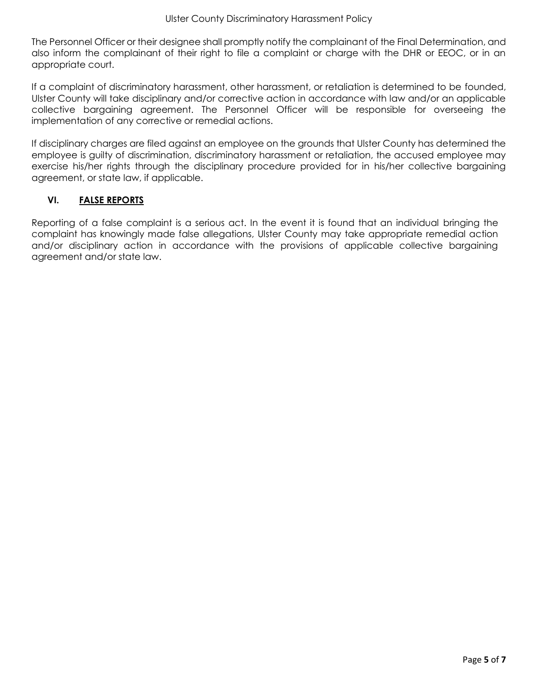The Personnel Officer or their designee shall promptly notify the complainant of the Final Determination, and also inform the complainant of their right to file a complaint or charge with the DHR or EEOC, or in an appropriate court.

If a complaint of discriminatory harassment, other harassment, or retaliation is determined to be founded, Ulster County will take disciplinary and/or corrective action in accordance with law and/or an applicable collective bargaining agreement. The Personnel Officer will be responsible for overseeing the implementation of any corrective or remedial actions.

If disciplinary charges are filed against an employee on the grounds that Ulster County has determined the employee is guilty of discrimination, discriminatory harassment or retaliation, the accused employee may exercise his/her rights through the disciplinary procedure provided for in his/her collective bargaining agreement, or state law, if applicable.

### **VI. FALSE REPORTS**

Reporting of a false complaint is a serious act. In the event it is found that an individual bringing the complaint has knowingly made false allegations, Ulster County may take appropriate remedial action and/or disciplinary action in accordance with the provisions of applicable collective bargaining agreement and/or state law.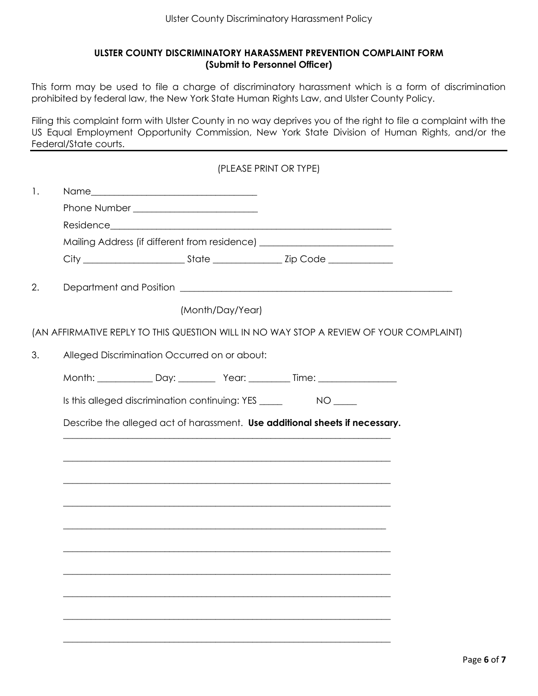#### **ULSTER COUNTY DISCRIMINATORY HARASSMENT PREVENTION COMPLAINT FORM (Submit to Personnel Officer)**

This form may be used to file a charge of discriminatory harassment which is a form of discrimination prohibited by federal law, the New York State Human Rights Law, and Ulster County Policy.

Filing this complaint form with Ulster County in no way deprives you of the right to file a complaint with the US Equal Employment Opportunity Commission, New York State Division of Human Rights, and/or the Federal/State courts.

|    | (PLEASE PRINT OR TYPE)                                                           |  |                  |                                                                                  |                                                                                        |  |
|----|----------------------------------------------------------------------------------|--|------------------|----------------------------------------------------------------------------------|----------------------------------------------------------------------------------------|--|
| 1. |                                                                                  |  |                  |                                                                                  |                                                                                        |  |
|    |                                                                                  |  |                  |                                                                                  |                                                                                        |  |
|    |                                                                                  |  |                  |                                                                                  |                                                                                        |  |
|    | Mailing Address (if different from residence) __________________________________ |  |                  |                                                                                  |                                                                                        |  |
|    |                                                                                  |  |                  |                                                                                  |                                                                                        |  |
| 2. |                                                                                  |  |                  |                                                                                  |                                                                                        |  |
|    |                                                                                  |  | (Month/Day/Year) |                                                                                  |                                                                                        |  |
|    |                                                                                  |  |                  |                                                                                  | (AN AFFIRMATIVE REPLY TO THIS QUESTION WILL IN NO WAY STOP A REVIEW OF YOUR COMPLAINT) |  |
| 3. | Alleged Discrimination Occurred on or about:                                     |  |                  |                                                                                  |                                                                                        |  |
|    |                                                                                  |  |                  |                                                                                  |                                                                                        |  |
|    |                                                                                  |  |                  | Is this alleged discrimination continuing: YES _________________________________ |                                                                                        |  |
|    |                                                                                  |  |                  | Describe the alleged act of harassment. Use additional sheets if necessary.      |                                                                                        |  |
|    |                                                                                  |  |                  |                                                                                  |                                                                                        |  |
|    |                                                                                  |  |                  |                                                                                  |                                                                                        |  |
|    |                                                                                  |  |                  |                                                                                  |                                                                                        |  |
|    |                                                                                  |  |                  | <u> 1989 - Johann Barn, mars an t-Amerikaansk komponister (* 1958)</u>           |                                                                                        |  |
|    |                                                                                  |  |                  |                                                                                  |                                                                                        |  |
|    |                                                                                  |  |                  |                                                                                  |                                                                                        |  |
|    |                                                                                  |  |                  |                                                                                  |                                                                                        |  |
|    |                                                                                  |  |                  |                                                                                  |                                                                                        |  |
|    |                                                                                  |  |                  |                                                                                  |                                                                                        |  |
|    |                                                                                  |  |                  |                                                                                  |                                                                                        |  |